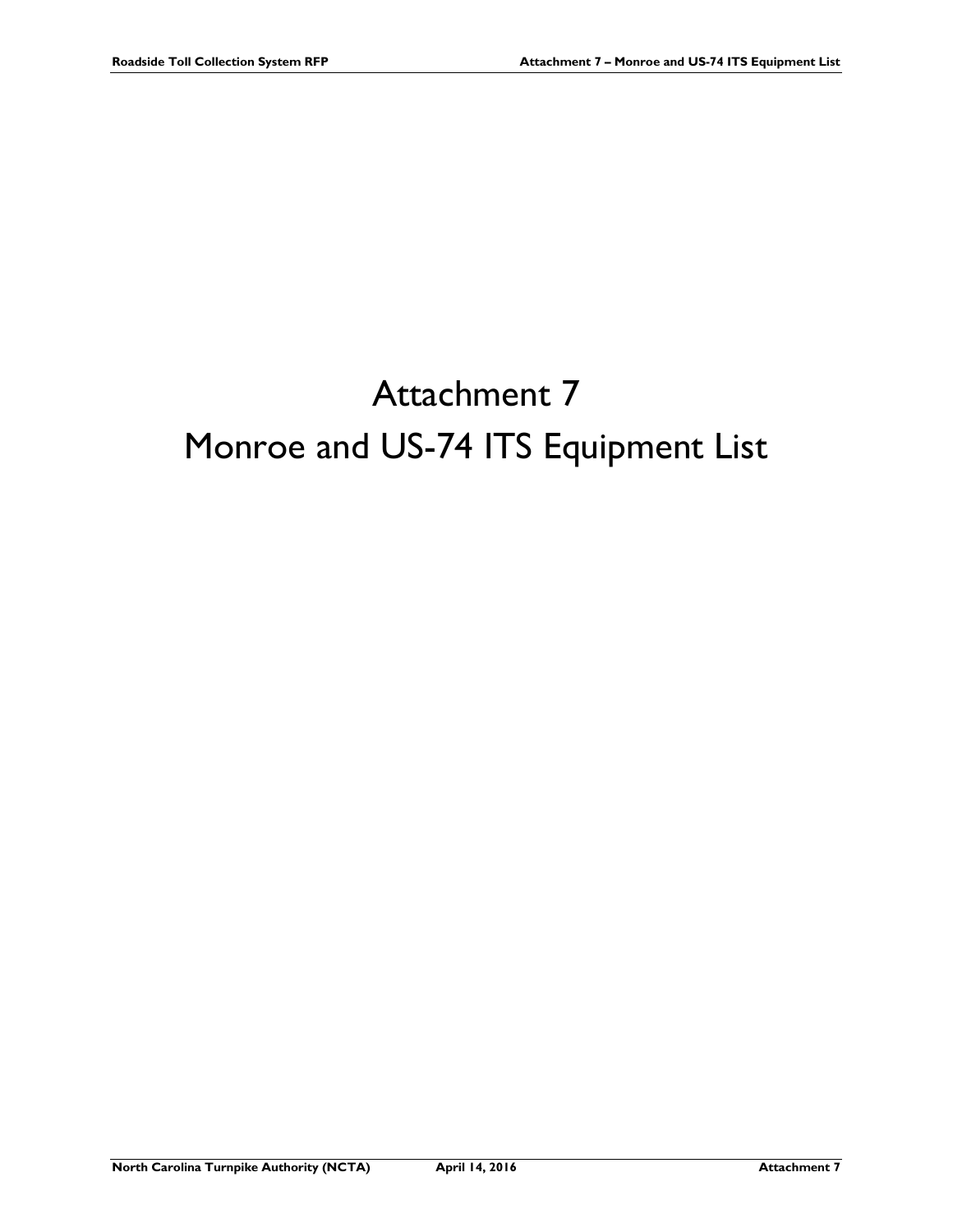## Attachment 7 Monroe and US-74 ITS Equipment List